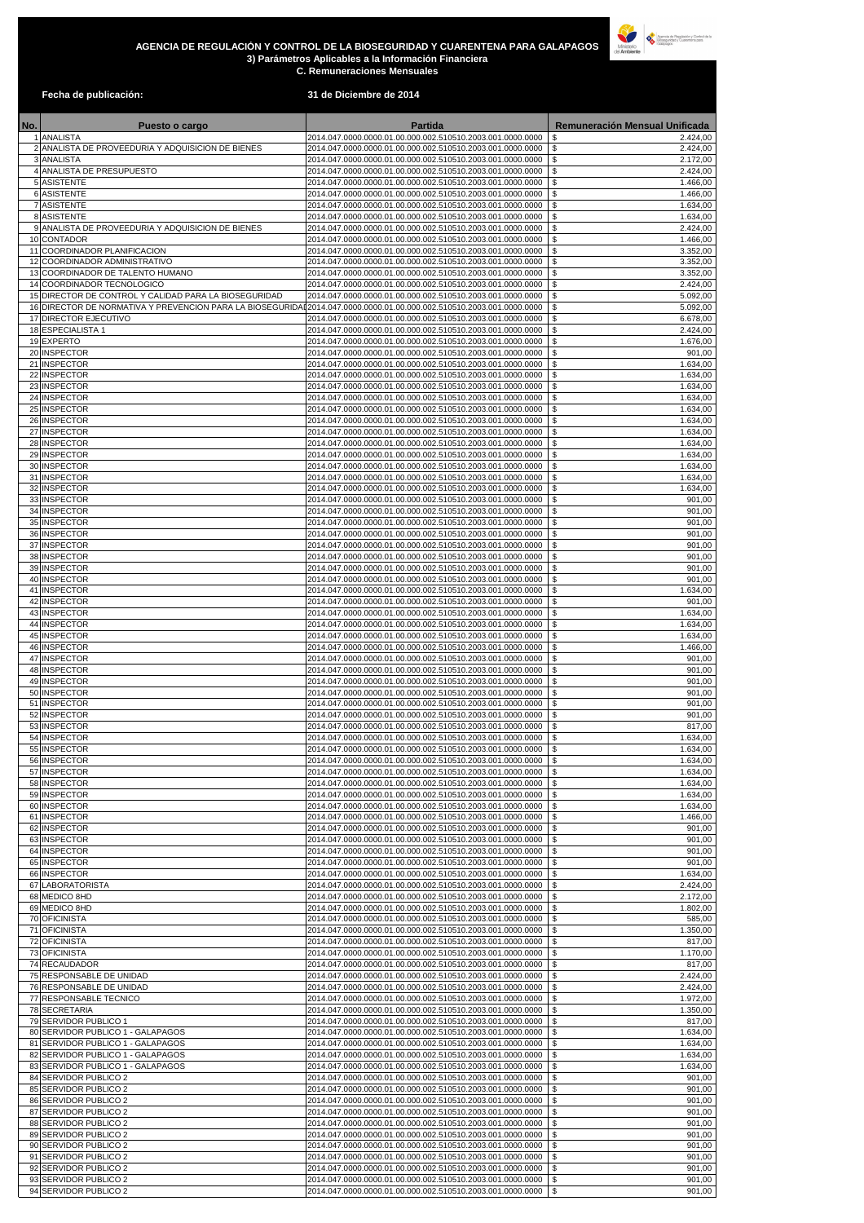**Fecha de publicación: 31 de Diciembre de 2014**

| No. | <b>Puesto o cargo</b>                                                                                              | <b>Partida</b>                                                                                                            | <b>Remuneración Mensual Unificada</b>                 |
|-----|--------------------------------------------------------------------------------------------------------------------|---------------------------------------------------------------------------------------------------------------------------|-------------------------------------------------------|
|     | ANALISTA<br>2 ANALISTA DE PROVEEDURIA Y ADQUISICION DE BIENES                                                      | 2014.047.0000.0000.01.00.000.002.510510.2003.001.0000.0000<br>2014.047.0000.0000.01.00.000.002.510510.2003.001.0000.0000  | $\sqrt[6]{3}$<br>2.424,00<br>\$<br>2.424,00           |
|     | 3 ANALISTA                                                                                                         | 2014.047.0000.0000.01.00.000.002.510510.2003.001.0000.0000                                                                | \$<br>2.172,00                                        |
|     | 4 ANALISTA DE PRESUPUESTO<br>5 ASISTENTE                                                                           | 2014.047.0000.0000.01.00.000.002.510510.2003.001.0000.0000<br>2014.047.0000.0000.01.00.000.002.510510.2003.001.0000.0000  | \$<br>2.424,00<br>\$<br>1.466,00                      |
|     | 6 ASISTENTE<br>7 ASISTENTE                                                                                         | 2014.047.0000.0000.01.00.000.002.510510.2003.001.0000.0000<br>2014.047.0000.0000.01.00.000.002.510510.2003.001.0000.0000  | $\boldsymbol{\mathsf{S}}$<br>1.466,00<br>\$           |
|     | 8 ASISTENTE                                                                                                        | 2014.047.0000.0000.01.00.000.002.510510.2003.001.0000.0000                                                                | 1.634,00<br>$\mathfrak{F}$<br>1.634,00                |
|     | 9 ANALISTA DE PROVEEDURIA Y ADQUISICION DE BIENES<br>10 CONTADOR                                                   | 2014.047.0000.0000.01.00.000.002.510510.2003.001.0000.0000<br>2014.047.0000.0000.01.00.000.002.510510.2003.001.0000.0000  | \$<br>2.424,00<br>\$<br>1.466,00                      |
|     | 11 COORDINADOR PLANIFICACION                                                                                       | 2014.047.0000.0000.01.00.000.002.510510.2003.001.0000.0000                                                                | \$<br>3.352,00                                        |
|     | 12 COORDINADOR ADMINISTRATIVO<br>13 COORDINADOR DE TALENTO HUMANO                                                  | 2014.047.0000.0000.01.00.000.002.510510.2003.001.0000.0000<br>2014.047.0000.0000.01.00.000.002.510510.2003.001.0000.0000  | \$<br>3.352,00<br>\$<br>3.352,00                      |
|     | 14 COORDINADOR TECNOLOGICO                                                                                         | 2014.047.0000.0000.01.00.000.002.510510.2003.001.0000.0000                                                                | \$<br>2.424,00                                        |
|     | 15 DIRECTOR DE CONTROL Y CALIDAD PARA LA BIOSEGURIDAD<br>16 DIRECTOR DE NORMATIVA Y PREVENCION PARA LA BIOSEGURIDA | 2014.047.0000.0000.01.00.000.002.510510.2003.001.0000.0000<br>I2014.047.0000.0000.01.00.000.002.510510.2003.001.0000.0000 | \$<br>5.092,00<br>\$<br>5.092,00                      |
|     | 17 DIRECTOR EJECUTIVO                                                                                              | 2014.047.0000.0000.01.00.000.002.510510.2003.001.0000.0000                                                                | $\boldsymbol{\mathsf{S}}$<br>6.678,00                 |
|     | 18 ESPECIALISTA 1<br>19EXPERTO                                                                                     | 2014.047.0000.0000.01.00.000.002.510510.2003.001.0000.0000<br>2014.047.0000.0000.01.00.000.002.510510.2003.001.0000.0000  | \$<br>2.424,00<br>$\sqrt[6]{3}$<br>1.676,00           |
|     | 20 INSPECTOR                                                                                                       | 2014.047.0000.0000.01.00.000.002.510510.2003.001.0000.0000                                                                | \$<br>901,00                                          |
|     | 21 INSPECTOR<br>22 INSPECTOR                                                                                       | 2014.047.0000.0000.01.00.000.002.510510.2003.001.0000.0000<br>2014.047.0000.0000.01.00.000.002.510510.2003.001.0000.0000  | \$<br>1.634,00<br>\$<br>1.634,00                      |
|     | 23 INSPECTOR                                                                                                       | 2014.047.0000.0000.01.00.000.002.510510.2003.001.0000.0000                                                                | \$<br>1.634,00                                        |
|     | 24 INSPECTOR<br>25 INSPECTOR                                                                                       | 2014.047.0000.0000.01.00.000.002.510510.2003.001.0000.0000<br>2014.047.0000.0000.01.00.000.002.510510.2003.001.0000.0000  | \$<br>1.634,00<br>\$<br>1.634,00                      |
|     | 26 INSPECTOR<br>27 INSPECTOR                                                                                       | 2014.047.0000.0000.01.00.000.002.510510.2003.001.0000.0000<br>2014.047.0000.0000.01.00.000.002.510510.2003.001.0000.0000  | \$<br>1.634,00<br>\$<br>1.634,00                      |
|     | 28 INSPECTOR                                                                                                       | 2014.047.0000.0000.01.00.000.002.510510.2003.001.0000.0000                                                                | $\boldsymbol{\mathsf{S}}$<br>1.634,00                 |
|     | 29 INSPECTOR<br>30 INSPECTOR                                                                                       | 2014.047.0000.0000.01.00.000.002.510510.2003.001.0000.0000<br>2014.047.0000.0000.01.00.000.002.510510.2003.001.0000.0000  | \$<br>1.634,00<br>\$.<br>1.634,00                     |
|     | 31 INSPECTOR                                                                                                       | 2014.047.0000.0000.01.00.000.002.510510.2003.001.0000.0000                                                                | -\$<br>1.634,00                                       |
|     | 32 INSPECTOR<br>33 INSPECTOR                                                                                       | 2014.047.0000.0000.01.00.000.002.510510.2003.001.0000.0000<br>2014.047.0000.0000.01.00.000.002.510510.2003.001.0000.0000  | \$<br>1.634,00<br>\$<br>901,00                        |
|     | 34 INSPECTOR                                                                                                       | 2014.047.0000.0000.01.00.000.002.510510.2003.001.0000.0000                                                                | \$<br>901,00                                          |
|     | 35 INSPECTOR<br>36 INSPECTOR                                                                                       | 2014.047.0000.0000.01.00.000.002.510510.2003.001.0000.0000<br>2014.047.0000.0000.01.00.000.002.510510.2003.001.0000.0000  | \$<br>901,00<br>\$<br>901,00                          |
|     | 37 INSPECTOR                                                                                                       | 2014.047.0000.0000.01.00.000.002.510510.2003.001.0000.0000                                                                | \$<br>901,00                                          |
|     | 38 INSPECTOR<br>39 INSPECTOR                                                                                       | 2014.047.0000.0000.01.00.000.002.510510.2003.001.0000.0000<br>2014.047.0000.0000.01.00.000.002.510510.2003.001.0000.0000  | \$<br>901,00<br>$\boldsymbol{\mathsf{S}}$<br>901,00   |
|     | 40 INSPECTOR                                                                                                       | 2014.047.0000.0000.01.00.000.002.510510.2003.001.0000.0000                                                                | \$<br>901,00                                          |
|     | 41 INSPECTOR<br>42 INSPECTOR                                                                                       | 2014.047.0000.0000.01.00.000.002.510510.2003.001.0000.0000<br>2014.047.0000.0000.01.00.000.002.510510.2003.001.0000.0000  | \$<br>1.634,00<br>\$<br>901,00                        |
|     | 43 INSPECTOR                                                                                                       | 2014.047.0000.0000.01.00.000.002.510510.2003.001.0000.0000                                                                | \$<br>1.634,00                                        |
|     | 44 INSPECTOR<br>45 INSPECTOR                                                                                       | 2014.047.0000.0000.01.00.000.002.510510.2003.001.0000.0000<br>2014.047.0000.0000.01.00.000.002.510510.2003.001.0000.0000  | \$<br>1.634,00<br>\$<br>1.634,00                      |
|     | 46 INSPECTOR                                                                                                       | 2014.047.0000.0000.01.00.000.002.510510.2003.001.0000.0000                                                                | \$<br>1.466,00                                        |
|     | 47 INSPECTOR<br>48 INSPECTOR                                                                                       | 2014.047.0000.0000.01.00.000.002.510510.2003.001.0000.0000<br>2014.047.0000.0000.01.00.000.002.510510.2003.001.0000.0000  | \$<br>901,00<br>\$<br>901,00                          |
|     | 49 INSPECTOR<br>50 INSPECTOR                                                                                       | 2014.047.0000.0000.01.00.000.002.510510.2003.001.0000.0000<br>2014.047.0000.0000.01.00.000.002.510510.2003.001.0000.0000  | \$<br>901,00<br>$\boldsymbol{\mathsf{S}}$<br>901,00   |
|     | 51 INSPECTOR                                                                                                       | 2014.047.0000.0000.01.00.000.002.510510.2003.001.0000.0000                                                                | \$<br>901,00                                          |
|     | 52 INSPECTOR<br>53 INSPECTOR                                                                                       | 2014.047.0000.0000.01.00.000.002.510510.2003.001.0000.0000<br>2014.047.0000.0000.01.00.000.002.510510.2003.001.0000.0000  | \$<br>901,00<br>\$<br>817,00                          |
|     | 54 INSPECTOR                                                                                                       | 2014.047.0000.0000.01.00.000.002.510510.2003.001.0000.0000                                                                | \$<br>1.634,00                                        |
|     | 55 INSPECTOR<br>56 INSPECTOR                                                                                       | 2014.047.0000.0000.01.00.000.002.510510.2003.001.0000.0000<br>2014.047.0000.0000.01.00.000.002.510510.2003.001.0000.0000  | \$<br>1.634,00<br>\$<br>1.634,00                      |
|     | 57 INSPECTOR                                                                                                       | 2014.047.0000.0000.01.00.000.002.510510.2003.001.0000.0000                                                                | \$<br>1.634,00                                        |
|     | 58 INSPECTOR<br>59 INSPECTOR                                                                                       | 2014.047.0000.0000.01.00.000.002.510510.2003.001.0000.0000<br>2014.047.0000.0000.01.00.000.002.510510.2003.001.0000.0000  | \$<br>1.634,00<br>\$<br>1.634,00                      |
|     | 60 INSPECTOR                                                                                                       | 2014.047.0000.0000.01.00.000.002.510510.2003.001.0000.0000                                                                | \$<br>1.634,00                                        |
|     | 61 INSPECTOR<br>62 INSPECTOR                                                                                       | 2014.047.0000.0000.01.00.000.002.510510.2003.001.0000.0000<br>2014.047.0000.0000.01.00.000.002.510510.2003.001.0000.0000  | $\boldsymbol{\mathsf{S}}$<br>1.466,00<br>901,00       |
|     | 63 INSPECTOR                                                                                                       | 2014.047.0000.0000.01.00.000.002.510510.2003.001.0000.0000                                                                | \$<br>901,00                                          |
|     | 64 INSPECTOR<br>65 INSPECTOR                                                                                       | 2014.047.0000.0000.01.00.000.002.510510.2003.001.0000.0000<br>2014.047.0000.0000.01.00.000.002.510510.2003.001.0000.0000  | \$<br>901,00<br>\$<br>901,00                          |
|     | 66 INSPECTOR<br>67 LABORATORISTA                                                                                   | 2014.047.0000.0000.01.00.000.002.510510.2003.001.0000.0000<br>2014.047.0000.0000.01.00.000.002.510510.2003.001.0000.0000  | \$<br>1.634,00<br>\$<br>2.424,00                      |
|     | 68 MEDICO 8HD                                                                                                      | 2014.047.0000.0000.01.00.000.002.510510.2003.001.0000.0000                                                                | \$<br>2.172,00                                        |
|     | 69 MEDICO 8HD<br>70 OFICINISTA                                                                                     | 2014.047.0000.0000.01.00.000.002.510510.2003.001.0000.0000<br>2014.047.0000.0000.01.00.000.002.510510.2003.001.0000.0000  | \$<br>1.802,00<br>\$<br>585,00                        |
|     | 71 OFICINISTA                                                                                                      | 2014.047.0000.0000.01.00.000.002.510510.2003.001.0000.0000                                                                | \$<br>1.350,00                                        |
|     | 72 OFICINISTA<br>73 OFICINISTA                                                                                     | 2014.047.0000.0000.01.00.000.002.510510.2003.001.0000.0000<br>2014.047.0000.0000.01.00.000.002.510510.2003.001.0000.0000  | \$<br>817,00<br>\$<br>1.170,00                        |
|     | 74 RECAUDADOR                                                                                                      | 2014.047.0000.0000.01.00.000.002.510510.2003.001.0000.0000                                                                | \$<br>817,00                                          |
|     | 75 RESPONSABLE DE UNIDAD<br>76 RESPONSABLE DE UNIDAD                                                               | 2014.047.0000.0000.01.00.000.002.510510.2003.001.0000.0000<br>2014.047.0000.0000.01.00.000.002.510510.2003.001.0000.0000  | \$<br>2.424,00<br>\$<br>2.424,00                      |
|     | 77 RESPONSABLE TECNICO                                                                                             | 2014.047.0000.0000.01.00.000.002.510510.2003.001.0000.0000                                                                | \$<br>1.972,00                                        |
|     | 78 SECRETARIA<br>79 SERVIDOR PUBLICO 1                                                                             | 2014.047.0000.0000.01.00.000.002.510510.2003.001.0000.0000<br>2014.047.0000.0000.01.00.000.002.510510.2003.001.0000.0000  | \$<br>1.350,00<br>\$<br>817,00                        |
|     | 80 SERVIDOR PUBLICO 1 - GALAPAGOS<br>81 SERVIDOR PUBLICO 1 - GALAPAGOS                                             | 2014.047.0000.0000.01.00.000.002.510510.2003.001.0000.0000<br>2014.047.0000.0000.01.00.000.002.510510.2003.001.0000.0000  | \$<br>1.634,00<br>\$<br>1.634,00                      |
|     | 82 SERVIDOR PUBLICO 1 - GALAPAGOS                                                                                  | 2014.047.0000.0000.01.00.000.002.510510.2003.001.0000.0000                                                                | \$<br>1.634,00                                        |
|     | 83 SERVIDOR PUBLICO 1 - GALAPAGOS<br>84 SERVIDOR PUBLICO 2                                                         | 2014.047.0000.0000.01.00.000.002.510510.2003.001.0000.0000<br>2014.047.0000.0000.01.00.000.002.510510.2003.001.0000.0000  | $\boldsymbol{\mathsf{S}}$<br>1.634,00<br>\$<br>901,00 |
|     | 85 SERVIDOR PUBLICO 2                                                                                              | 2014.047.0000.0000.01.00.000.002.510510.2003.001.0000.0000                                                                | \$<br>901,00                                          |
|     | 86 SERVIDOR PUBLICO 2<br>87 SERVIDOR PUBLICO 2                                                                     | 2014.047.0000.0000.01.00.000.002.510510.2003.001.0000.0000<br>2014.047.0000.0000.01.00.000.002.510510.2003.001.0000.0000  | \$<br>901,00<br>\$<br>901,00                          |
|     | 88 SERVIDOR PUBLICO 2                                                                                              | 2014.047.0000.0000.01.00.000.002.510510.2003.001.0000.0000                                                                | \$<br>901,00                                          |
|     | 89 SERVIDOR PUBLICO 2<br>90 SERVIDOR PUBLICO 2                                                                     | 2014.047.0000.0000.01.00.000.002.510510.2003.001.0000.0000<br>2014.047.0000.0000.01.00.000.002.510510.2003.001.0000.0000  | $\sqrt[6]{3}$<br>901,00<br>\$<br>901,00               |
|     | 91 SERVIDOR PUBLICO 2                                                                                              | 2014.047.0000.0000.01.00.000.002.510510.2003.001.0000.0000                                                                | \$<br>901,00                                          |
|     | 92 SERVIDOR PUBLICO 2<br>93 SERVIDOR PUBLICO 2                                                                     | 2014.047.0000.0000.01.00.000.002.510510.2003.001.0000.0000<br>2014.047.0000.0000.01.00.000.002.510510.2003.001.0000.0000  | \$<br>901,00<br>\$<br>901,00                          |
|     | 94 SERVIDOR PUBLICO 2                                                                                              | 2014.047.0000.0000.01.00.000.002.510510.2003.001.0000.0000                                                                | $\sqrt{3}$<br>901,00                                  |

## **AGENCIA DE REGULACIÓN Y CONTROL DE LA BIOSEGURIDAD Y CUARENTENA PARA GALAPAGOS 3) Parámetros Aplicables a la Información Financiera C. Remuneraciones Mensuales**

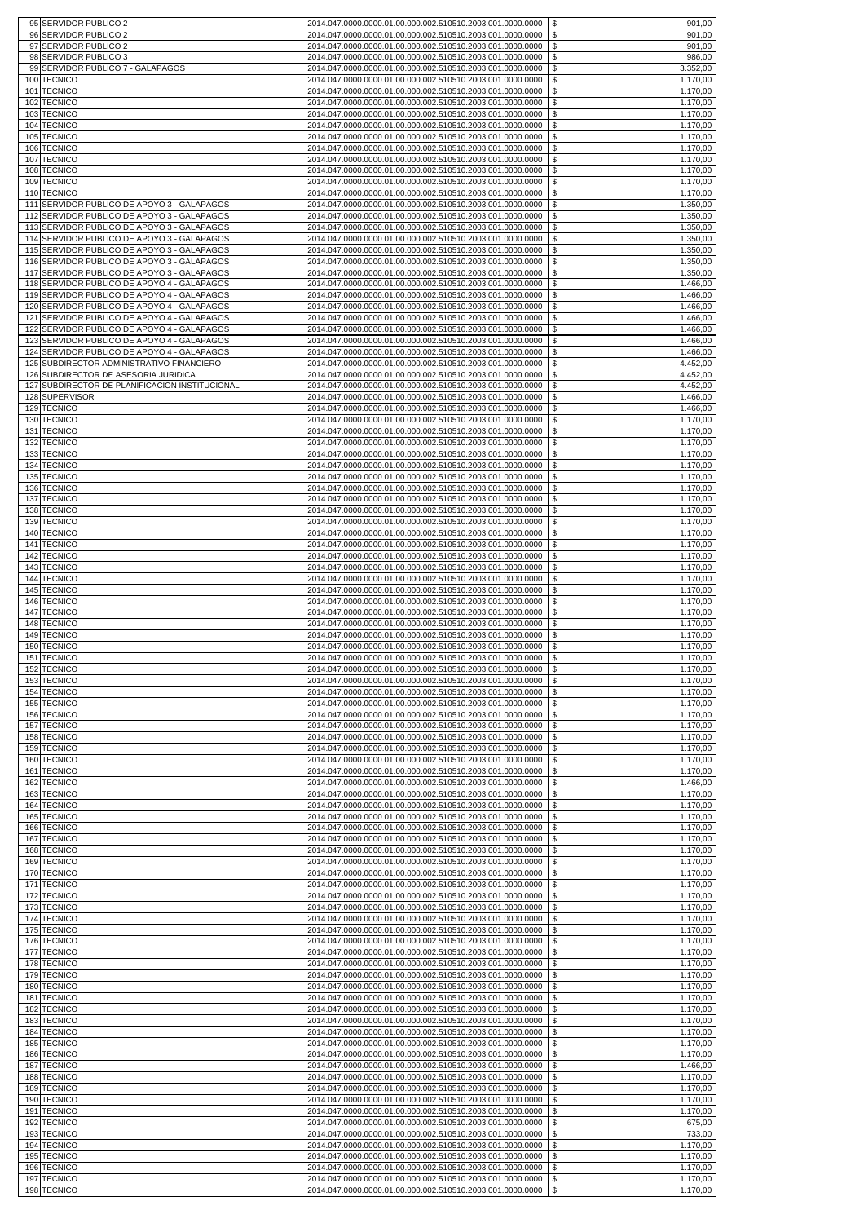|             | 95 SERVIDOR PUBLICO 2                                                                      | \$<br>2014.047.0000.0000.01.00.000.002.510510.2003.001.0000.0000<br>901,00                                                                                                        |
|-------------|--------------------------------------------------------------------------------------------|-----------------------------------------------------------------------------------------------------------------------------------------------------------------------------------|
|             | 96 SERVIDOR PUBLICO 2                                                                      | \$<br>2014.047.0000.0000.01.00.000.002.510510.2003.001.0000.0000<br>901,00                                                                                                        |
|             | 97 SERVIDOR PUBLICO 2                                                                      | \$<br>2014.047.0000.0000.01.00.000.002.510510.2003.001.0000.0000<br>901,00                                                                                                        |
|             | 98 SERVIDOR PUBLICO 3<br>99 SERVIDOR PUBLICO 7 - GALAPAGOS                                 | \$<br>2014.047.0000.0000.01.00.000.002.510510.2003.001.0000.0000<br>986,00<br>\$<br>2014.047.0000.0000.01.00.000.002.510510.2003.001.0000.0000<br>3.352,00                        |
| 100         | <b>TECNICO</b>                                                                             | $\mathfrak{S}$<br>1.170,00<br>2014.047.0000.0000.01.00.000.002.510510.2003.001.0000.0000                                                                                          |
| 101         | <b>TECNICO</b>                                                                             | \$<br>2014.047.0000.0000.01.00.000.002.510510.2003.001.0000.0000<br>1.170,00                                                                                                      |
|             | 102 TECNICO                                                                                | \$<br>1.170,00<br>2014.047.0000.0000.01.00.000.002.510510.2003.001.0000.0000                                                                                                      |
| 103         | <b>TECNICO</b>                                                                             | \$<br>1.170,00<br>2014.047.0000.0000.01.00.000.002.510510.2003.001.0000.0000                                                                                                      |
| 104         | <b>TECNICO</b><br>105 TECNICO                                                              | \$<br>1.170,00<br>2014.047.0000.0000.01.00.000.002.510510.2003.001.0000.0000<br>\$<br>1.170,00<br>2014.047.0000.0000.01.00.000.002.510510.2003.001.0000.0000                      |
| 106         | <b>TECNICO</b>                                                                             | \$<br>1.170,00<br>2014.047.0000.0000.01.00.000.002.510510.2003.001.0000.0000                                                                                                      |
| 107         | <b>TECNICO</b>                                                                             | \$<br>1.170,00<br>2014.047.0000.0000.01.00.000.002.510510.2003.001.0000.0000                                                                                                      |
| 108         | <b>TECNICO</b>                                                                             | \$<br>1.170,00<br>2014.047.0000.0000.01.00.000.002.510510.2003.001.0000.0000                                                                                                      |
|             | 109 TECNICO<br>110 TECNICO                                                                 | \$<br>2014.047.0000.0000.01.00.000.002.510510.2003.001.0000.0000<br>1.170,00<br>\$<br>1.170,00<br>2014.047.0000.0000.01.00.000.002.510510.2003.001.0000.0000                      |
| 111         | SERVIDOR PUBLICO DE APOYO 3 - GALAPAGOS                                                    | $\boldsymbol{\mathsf{S}}$<br>1.350,00<br>2014.047.0000.0000.01.00.000.002.510510.2003.001.0000.0000                                                                               |
|             | 112 SERVIDOR PUBLICO DE APOYO 3 - GALAPAGOS                                                | \$<br>2014.047.0000.0000.01.00.000.002.510510.2003.001.0000.0000<br>1.350,00                                                                                                      |
|             | 113 SERVIDOR PUBLICO DE APOYO 3 - GALAPAGOS                                                | \$<br>2014.047.0000.0000.01.00.000.002.510510.2003.001.0000.0000<br>1.350,00                                                                                                      |
|             | 114 SERVIDOR PUBLICO DE APOYO 3 - GALAPAGOS                                                | \$<br>2014.047.0000.0000.01.00.000.002.510510.2003.001.0000.0000<br>1.350,00                                                                                                      |
|             | 115 SERVIDOR PUBLICO DE APOYO 3 - GALAPAGOS<br>116 SERVIDOR PUBLICO DE APOYO 3 - GALAPAGOS | \$<br>1.350,00<br>2014.047.0000.0000.01.00.000.002.510510.2003.001.0000.0000<br>\$<br>1.350,00<br>2014.047.0000.0000.01.00.000.002.510510.2003.001.0000.0000                      |
|             | 117 SERVIDOR PUBLICO DE APOYO 3 - GALAPAGOS                                                | \$<br>1.350,00<br>2014.047.0000.0000.01.00.000.002.510510.2003.001.0000.0000                                                                                                      |
|             | 118 SERVIDOR PUBLICO DE APOYO 4 - GALAPAGOS                                                | \$<br>1.466,00<br>2014.047.0000.0000.01.00.000.002.510510.2003.001.0000.0000                                                                                                      |
|             | 119 SERVIDOR PUBLICO DE APOYO 4 - GALAPAGOS<br>120 SERVIDOR PUBLICO DE APOYO 4 - GALAPAGOS | \$<br>2014.047.0000.0000.01.00.000.002.510510.2003.001.0000.0000<br>1.466,00                                                                                                      |
|             | 121 SERVIDOR PUBLICO DE APOYO 4 - GALAPAGOS                                                | \$<br>1.466,00<br>2014.047.0000.0000.01.00.000.002.510510.2003.001.0000.0000<br>\$<br>2014.047.0000.0000.01.00.000.002.510510.2003.001.0000.0000<br>1.466,00                      |
| 122         | SERVIDOR PUBLICO DE APOYO 4 - GALAPAGOS                                                    | \$<br>1.466,00<br>2014.047.0000.0000.01.00.000.002.510510.2003.001.0000.0000                                                                                                      |
|             | 123 SERVIDOR PUBLICO DE APOYO 4 - GALAPAGOS                                                | \$<br>2014.047.0000.0000.01.00.000.002.510510.2003.001.0000.0000<br>1.466,00                                                                                                      |
|             | 124 SERVIDOR PUBLICO DE APOYO 4 - GALAPAGOS<br>125 SUBDIRECTOR ADMINISTRATIVO FINANCIERO   | \$<br>1.466,00<br>2014.047.0000.0000.01.00.000.002.510510.2003.001.0000.0000<br>\$<br>2014.047.0000.0000.01.00.000.002.510510.2003.001.0000.0000<br>4.452,00                      |
|             | 126 SUBDIRECTOR DE ASESORIA JURIDICA                                                       | 2014.047.0000.0000.01.00.000.002.510510.2003.001.0000.0000<br>4.452,00                                                                                                            |
|             | 127 SUBDIRECTOR DE PLANIFICACION INSTITUCIONAL                                             | \$<br>4.452,00<br>2014.047.0000.0000.01.00.000.002.510510.2003.001.0000.0000                                                                                                      |
|             | 128 SUPERVISOR                                                                             | \$<br>1.466,00<br>2014.047.0000.0000.01.00.000.002.510510.2003.001.0000.0000                                                                                                      |
|             | 129 TECNICO<br>130 TECNICO                                                                 | \$<br>1.466,00<br>2014.047.0000.0000.01.00.000.002.510510.2003.001.0000.0000<br>\$<br>1.170,00<br>2014.047.0000.0000.01.00.000.002.510510.2003.001.0000.0000                      |
| 131         | <b>TECNICO</b>                                                                             | \$<br>1.170,00<br>2014.047.0000.0000.01.00.000.002.510510.2003.001.0000.0000                                                                                                      |
| 132         | <b>TECNICO</b>                                                                             | \$<br>2014.047.0000.0000.01.00.000.002.510510.2003.001.0000.0000<br>1.170,00                                                                                                      |
| 133         | <b>TECNICO</b>                                                                             | \$<br>2014.047.0000.0000.01.00.000.002.510510.2003.001.0000.0000<br>1.170,00                                                                                                      |
| 134         | <b>TECNICO</b><br>135 TECNICO                                                              | \$<br>1.170,00<br>2014.047.0000.0000.01.00.000.002.510510.2003.001.0000.0000<br>\$<br>1.170,00<br>2014.047.0000.0000.01.00.000.002.510510.2003.001.0000.0000                      |
| 1361        | <b>TECNICO</b>                                                                             | \$<br>1.170,00<br>2014.047.0000.0000.01.00.000.002.510510.2003.001.0000.0000                                                                                                      |
| 137         | <b>TECNICO</b>                                                                             | \$<br>1.170,00<br>2014.047.0000.0000.01.00.000.002.510510.2003.001.0000.0000                                                                                                      |
|             | 138 TECNICO<br>139 TECNICO                                                                 | \$<br>1.170,00<br>2014.047.0000.0000.01.00.000.002.510510.2003.001.0000.0000<br>\$<br>2014.047.0000.0000.01.00.000.002.510510.2003.001.0000.0000                                  |
| 140         | <b>TECNICO</b>                                                                             | 1.170,00<br>\$<br>1.170,00<br>2014.047.0000.0000.01.00.000.002.510510.2003.001.0000.0000                                                                                          |
| 141         | <b>TECNICO</b>                                                                             | \$<br>1.170,00<br>2014.047.0000.0000.01.00.000.002.510510.2003.001.0000.0000                                                                                                      |
| 142         | <b>TECNICO</b>                                                                             | \$<br>1.170,00<br>2014.047.0000.0000.01.00.000.002.510510.2003.001.0000.0000                                                                                                      |
| 144         | 143 TECNICO<br><b>TECNICO</b>                                                              | \$<br>2014.047.0000.0000.01.00.000.002.510510.2003.001.0000.0000<br>1.170,00<br>\$<br>2014.047.0000.0000.01.00.000.002.510510.2003.001.0000.0000<br>1.170,00                      |
|             | 145 TECNICO                                                                                | \$<br>1.170,00<br>2014.047.0000.0000.01.00.000.002.510510.2003.001.0000.0000                                                                                                      |
|             | 146 TECNICO                                                                                | \$<br>1.170,00<br>2014.047.0000.0000.01.00.000.002.510510.2003.001.0000.0000                                                                                                      |
| 147         | <b>TECNICO</b>                                                                             | \$<br>1.170,00<br>2014.047.0000.0000.01.00.000.002.510510.2003.001.0000.0000                                                                                                      |
| 148         | <b>TECNICO</b><br>149 TECNICO                                                              | \$<br>1.170,00<br>2014.047.0000.0000.01.00.000.002.510510.2003.001.0000.0000<br>\$<br>2014.047.0000.0000.01.00.000.002.510510.2003.001.0000.0000<br>1.170,00                      |
|             | 150 TECNICO                                                                                | \$<br>2014.047.0000.0000.01.00.000.002.510510.2003.001.0000.0000<br>1.170,00                                                                                                      |
|             | 151 TECNICO                                                                                | \$<br>1.170,00<br>2014.047.0000.0000.01.00.000.002.510510.2003.001.0000.0000                                                                                                      |
| 152         | <b>TECNICO</b><br>153 TECNICO                                                              | \$<br>1.170,00<br>2014.047.0000.0000.01.00.000.002.510510.2003.001.0000.0000<br>\$<br>2014.047.0000.0000.01.00.000.002.510510.2003.001.0000.0000<br>1.170,00                      |
| 154         | <b>TECNICO</b>                                                                             | \$<br>2014.047.0000.0000.01.00.000.002.510510.2003.001.0000.0000<br>1.170,00                                                                                                      |
| 155         | <b>TECNICO</b>                                                                             | \$<br>2014.047.0000.0000.01.00.000.002.510510.2003.001.0000.0000<br>1.170,00                                                                                                      |
|             | 156 TECNICO                                                                                | \$<br>1.170,00<br>2014.047.0000.0000.01.00.000.002.510510.2003.001.0000.0000                                                                                                      |
|             | 157 TECNICO<br>158 TECNICO                                                                 | \$<br>2014.047.0000.0000.01.00.000.002.510510.2003.001.0000.0000<br>1.170,00<br>2014.047.0000.0000.01.00.000.002.510510.2003.001.0000.0000<br>-\$<br>1.170,00                     |
|             | 159 TECNICO                                                                                | \$<br>1.170,00<br>2014.047.0000.0000.01.00.000.002.510510.2003.001.0000.0000                                                                                                      |
|             | 160 TECNICO                                                                                | \$<br>1.170,00<br>2014.047.0000.0000.01.00.000.002.510510.2003.001.0000.0000                                                                                                      |
| 1611<br>162 | <b>TECNICO</b><br><b>TECNICO</b>                                                           | \$<br>2014.047.0000.0000.01.00.000.002.510510.2003.001.0000.0000<br>1.170,00<br>\$<br>1.466,00<br>2014.047.0000.0000.01.00.000.002.510510.2003.001.0000.0000                      |
| 1631        | <b>TECNICO</b>                                                                             | \$<br>1.170,00<br>2014.047.0000.0000.01.00.000.002.510510.2003.001.0000.0000                                                                                                      |
|             | 164 TECNICO                                                                                | \$<br>2014.047.0000.0000.01.00.000.002.510510.2003.001.0000.0000<br>1.170,00                                                                                                      |
|             | 165 TECNICO                                                                                | \$<br>2014.047.0000.0000.01.00.000.002.510510.2003.001.0000.0000<br>1.170,00                                                                                                      |
| 166         | <b>TECNICO</b><br>167 TECNICO                                                              | \$<br>1.170,00<br>2014.047.0000.0000.01.00.000.002.510510.2003.001.0000.0000<br>\$<br>2014.047.0000.0000.01.00.000.002.510510.2003.001.0000.0000<br>1.170,00                      |
|             | 168 TECNICO                                                                                | \$<br>1.170,00<br>2014.047.0000.0000.01.00.000.002.510510.2003.001.0000.0000                                                                                                      |
|             | 169 TECNICO                                                                                | \$<br>2014.047.0000.0000.01.00.000.002.510510.2003.001.0000.0000<br>1.170,00                                                                                                      |
| 170<br>171  | <b>TECNICO</b><br><b>TECNICO</b>                                                           | \$<br>1.170,00<br>2014.047.0000.0000.01.00.000.002.510510.2003.001.0000.0000<br>\$<br>2014.047.0000.0000.01.00.000.002.510510.2003.001.0000.0000<br>1.170,00                      |
|             | 172 TECNICO                                                                                | \$<br>2014.047.0000.0000.01.00.000.002.510510.2003.001.0000.0000<br>1.170,00                                                                                                      |
| 1731        | <b>TECNICO</b>                                                                             | \$<br>1.170,00<br>2014.047.0000.0000.01.00.000.002.510510.2003.001.0000.0000                                                                                                      |
| 174         | <b>TECNICO</b><br>175 TECNICO                                                              | \$<br>2014.047.0000.0000.01.00.000.002.510510.2003.001.0000.0000<br>1.170,00<br>2014.047.0000.0000.01.00.000.002.510510.2003.001.0000.0000                                        |
|             | 176 TECNICO                                                                                | \$<br>1.170,00<br>\$<br>2014.047.0000.0000.01.00.000.002.510510.2003.001.0000.0000<br>1.170,00                                                                                    |
| 177         | <b>TECNICO</b>                                                                             | \$<br>2014.047.0000.0000.01.00.000.002.510510.2003.001.0000.0000<br>1.170,00                                                                                                      |
| 178         | <b>TECNICO</b>                                                                             | \$<br>1.170,00<br>2014.047.0000.0000.01.00.000.002.510510.2003.001.0000.0000                                                                                                      |
| 180         | 179 TECNICO<br><b>TECNICO</b>                                                              | \$<br>1.170,00<br>2014.047.0000.0000.01.00.000.002.510510.2003.001.0000.0000<br>\$<br>2014.047.0000.0000.01.00.000.002.510510.2003.001.0000.0000<br>1.170,00                      |
| 181         | <b>TECNICO</b>                                                                             | \$<br>1.170,00<br>2014.047.0000.0000.01.00.000.002.510510.2003.001.0000.0000                                                                                                      |
| 182         | <b>TECNICO</b>                                                                             | \$<br>2014.047.0000.0000.01.00.000.002.510510.2003.001.0000.0000<br>1.170,00                                                                                                      |
| 1831        | <b>TECNICO</b>                                                                             | \$<br>1.170,00<br>2014.047.0000.0000.01.00.000.002.510510.2003.001.0000.0000                                                                                                      |
| 184<br>185  | <b>TECNICO</b><br><b>TECNICO</b>                                                           | \$<br>2014.047.0000.0000.01.00.000.002.510510.2003.001.0000.0000<br>1.170,00<br>\$<br>2014.047.0000.0000.01.00.000.002.510510.2003.001.0000.0000<br>1.170,00                      |
|             | 186 TECNICO                                                                                | \$<br>1.170,00<br>2014.047.0000.0000.01.00.000.002.510510.2003.001.0000.0000                                                                                                      |
|             | 187 TECNICO                                                                                | \$<br>2014.047.0000.0000.01.00.000.002.510510.2003.001.0000.0000<br>1.466,00                                                                                                      |
| 188         | <b>TECNICO</b><br>189 TECNICO                                                              | 2014.047.0000.0000.01.00.000.002.510510.2003.001.0000.0000<br>\$<br>1.170,00<br>\$<br>2014.047.0000.0000.01.00.000.002.510510.2003.001.0000.0000<br>1.170,00                      |
|             | 190 TECNICO                                                                                | \$<br>1.170,00<br>2014.047.0000.0000.01.00.000.002.510510.2003.001.0000.0000                                                                                                      |
|             | 191 TECNICO                                                                                | \$<br>1.170,00<br>2014.047.0000.0000.01.00.000.002.510510.2003.001.0000.0000                                                                                                      |
|             | 192 TECNICO                                                                                | \$<br>675,00<br>2014.047.0000.0000.01.00.000.002.510510.2003.001.0000.0000                                                                                                        |
|             | 193 TECNICO<br>194 TECNICO                                                                 | $\boldsymbol{\mathsf{S}}$<br>2014.047.0000.0000.01.00.000.002.510510.2003.001.0000.0000<br>733,00<br>\$<br>2014.047.0000.0000.01.00.000.002.510510.2003.001.0000.0000<br>1.170,00 |
|             | 195 TECNICO                                                                                | \$<br>2014.047.0000.0000.01.00.000.002.510510.2003.001.0000.0000<br>1.170,00                                                                                                      |
|             | 196 TECNICO                                                                                | \$<br>1.170,00<br>2014.047.0000.0000.01.00.000.002.510510.2003.001.0000.0000                                                                                                      |
|             | 197 TECNICO<br>198 TECNICO                                                                 | \$<br>1.170,00<br>2014.047.0000.0000.01.00.000.002.510510.2003.001.0000.0000<br>\$<br>2014.047.0000.0000.01.00.000.002.510510.2003.001.0000.0000<br>1.170,00                      |
|             |                                                                                            |                                                                                                                                                                                   |